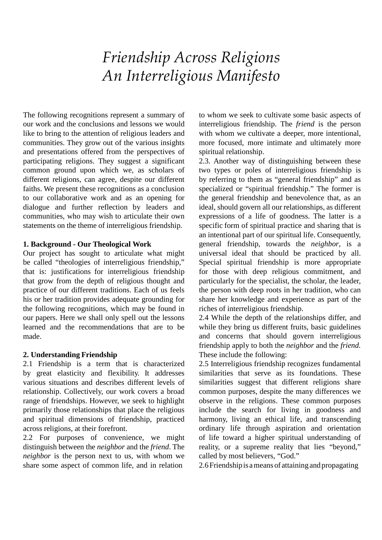# *Friendship Across Religions An Interreligious Manifesto*

The following recognitions represent a summary of our work and the conclusions and lessons we would like to bring to the attention of religious leaders and communities. They grow out of the various insights and presentations offered from the perspectives of participating religions. They suggest a significant common ground upon which we, as scholars of different religions, can agree, despite our different faiths. We present these recognitions as a conclusion to our collaborative work and as an opening for dialogue and further reflection by leaders and communities, who may wish to articulate their own statements on the theme of interreligious friendship.

#### **1. Background - Our Theological Work**

Our project has sought to articulate what might be called "theologies of interreligious friendship," that is: justifications for interreligious friendship that grow from the depth of religious thought and practice of our different traditions. Each of us feels his or her tradition provides adequate grounding for the following recognitions, which may be found in our papers. Here we shall only spell out the lessons learned and the recommendations that are to be made.

#### **2. Understanding Friendship**

2.1 Friendship is a term that is characterized by great elasticity and flexibility. It addresses various situations and describes different levels of relationship. Collectively, our work covers a broad range of friendships. However, we seek to highlight primarily those relationships that place the religious and spiritual dimensions of friendship, practiced across religions, at their forefront.

2.2 For purposes of convenience, we might distinguish between the *neighbor* and the *friend*. The *neighbor* is the person next to us, with whom we share some aspect of common life, and in relation

to whom we seek to cultivate some basic aspects of interreligious friendship. The *friend* is the person with whom we cultivate a deeper, more intentional, more focused, more intimate and ultimately more spiritual relationship.

2.3. Another way of distinguishing between these two types or poles of interreligious friendship is by referring to them as "general friendship" and as specialized or "spiritual friendship." The former is the general friendship and benevolence that, as an ideal, should govern all our relationships, as different expressions of a life of goodness. The latter is a specific form of spiritual practice and sharing that is an intentional part of our spiritual life. Consequently, general friendship, towards the *neighbor*, is a universal ideal that should be practiced by all. Special spiritual friendship is more appropriate for those with deep religious commitment, and particularly for the specialist, the scholar, the leader, the person with deep roots in her tradition, who can share her knowledge and experience as part of the riches of interreligious friendship.

2.4 While the depth of the relationships differ, and while they bring us different fruits, basic guidelines and concerns that should govern interreligious friendship apply to both the *neighbor* and the *friend.*  These include the following:

2.5 Interreligious friendship recognizes fundamental similarities that serve as its foundations. These similarities suggest that different religions share common purposes, despite the many differences we observe in the religions. These common purposes include the search for living in goodness and harmony, living an ethical life, and transcending ordinary life through aspiration and orientation of life toward a higher spiritual understanding of reality, or a supreme reality that lies "beyond," called by most believers, "God."

2.6 Friendship is a means of attaining and propagating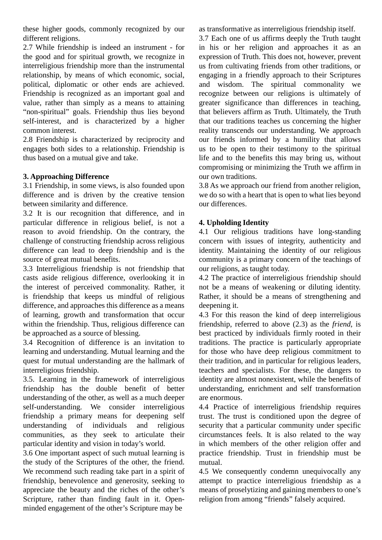these higher goods, commonly recognized by our different religions.

2.7 While friendship is indeed an instrument - for the good and for spiritual growth, we recognize in interreligious friendship more than the instrumental relationship, by means of which economic, social, political, diplomatic or other ends are achieved. Friendship is recognized as an important goal and value, rather than simply as a means to attaining "non-spiritual" goals. Friendship thus lies beyond self-interest, and is characterized by a higher common interest.

2.8 Friendship is characterized by reciprocity and engages both sides to a relationship. Friendship is thus based on a mutual give and take.

# **3. Approaching Difference**

3.1 Friendship, in some views, is also founded upon difference and is driven by the creative tension between similarity and difference.

3.2 It is our recognition that difference, and in particular difference in religious belief, is not a reason to avoid friendship. On the contrary, the challenge of constructing friendship across religious difference can lead to deep friendship and is the source of great mutual benefits.

3.3 Interreligious friendship is not friendship that casts aside religious difference, overlooking it in the interest of perceived commonality. Rather, it is friendship that keeps us mindful of religious difference, and approaches this difference as a means of learning, growth and transformation that occur within the friendship. Thus, religious difference can be approached as a source of blessing.

3.4 Recognition of difference is an invitation to learning and understanding. Mutual learning and the quest for mutual understanding are the hallmark of interreligious friendship.

3.5. Learning in the framework of interreligious friendship has the double benefit of better understanding of the other, as well as a much deeper self-understanding. We consider interreligious friendship a primary means for deepening self understanding of individuals and religious communities, as they seek to articulate their particular identity and vision in today's world.

3.6 One important aspect of such mutual learning is the study of the Scriptures of the other, the friend. We recommend such reading take part in a spirit of friendship, benevolence and generosity, seeking to appreciate the beauty and the riches of the other's Scripture, rather than finding fault in it. Openminded engagement of the other's Scripture may be

as transformative as interreligious friendship itself.

3.7 Each one of us affirms deeply the Truth taught in his or her religion and approaches it as an expression of Truth. This does not, however, prevent us from cultivating friends from other traditions, or engaging in a friendly approach to their Scriptures and wisdom. The spiritual commonality we recognize between our religions is ultimately of greater significance than differences in teaching, that believers affirm as Truth. Ultimately, the Truth that our traditions teaches us concerning the higher reality transcends our understanding. We approach our friends informed by a humility that allows us to be open to their testimony to the spiritual life and to the benefits this may bring us, without compromising or minimizing the Truth we affirm in our own traditions.

3.8 As we approach our friend from another religion, we do so with a heart that is open to what lies beyond our differences.

# **4. Upholding Identity**

4.1 Our religious traditions have long-standing concern with issues of integrity, authenticity and identity. Maintaining the identity of our religious community is a primary concern of the teachings of our religions, as taught today.

4.2 The practice of interreligious friendship should not be a means of weakening or diluting identity. Rather, it should be a means of strengthening and deepening it.

4.3 For this reason the kind of deep interreligious friendship, referred to above (2.3) as the *friend*, is best practiced by individuals firmly rooted in their traditions. The practice is particularly appropriate for those who have deep religious commitment to their tradition, and in particular for religious leaders, teachers and specialists. For these, the dangers to identity are almost nonexistent, while the benefits of understanding, enrichment and self transformation are enormous.

4.4 Practice of interreligious friendship requires trust. The trust is conditioned upon the degree of security that a particular community under specific circumstances feels. It is also related to the way in which members of the other religion offer and practice friendship. Trust in friendship must be mutual.

4.5 We consequently condemn unequivocally any attempt to practice interreligious friendship as a means of proselytizing and gaining members to one's religion from among "friends" falsely acquired.